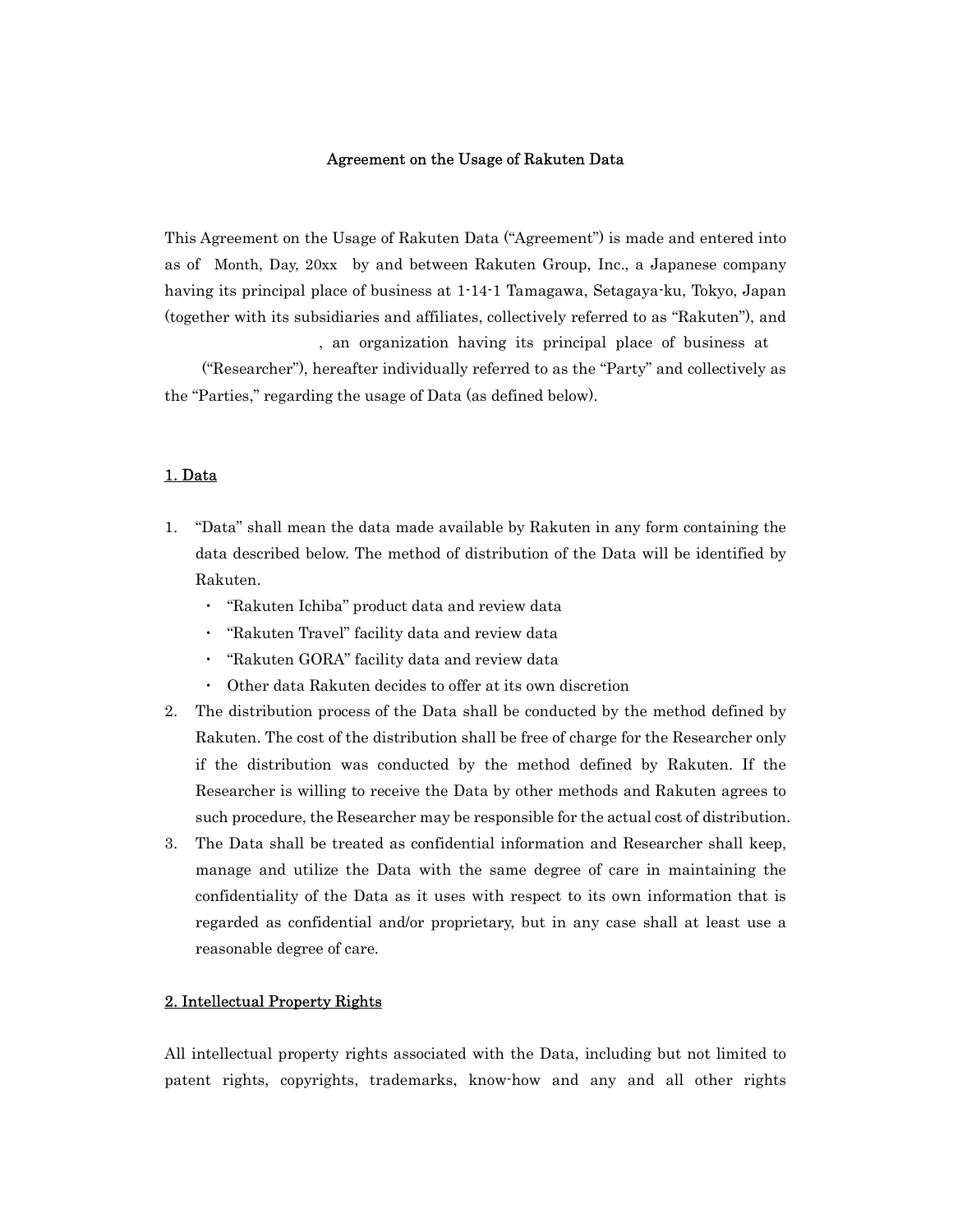#### Agreement on the Usage of Rakuten Data

This Agreement on the Usage of Rakuten Data ("Agreement") is made and entered into as of Month, Day, 20xx by and between Rakuten Group, Inc., a Japanese company having its principal place of business at 1-14-1 Tamagawa, Setagaya-ku, Tokyo, Japan (together with its subsidiaries and affiliates, collectively referred to as "Rakuten"), and

, an organization having its principal place of business at

 ("Researcher"), hereafter individually referred to as the "Party" and collectively as the "Parties," regarding the usage of Data (as defined below).

#### 1. Data

- 1. "Data" shall mean the data made available by Rakuten in any form containing the data described below. The method of distribution of the Data will be identified by Rakuten.
	- ・ "Rakuten Ichiba" product data and review data
	- ・ "Rakuten Travel" facility data and review data
	- ・ "Rakuten GORA" facility data and review data
	- ・ Other data Rakuten decides to offer at its own discretion
- 2. The distribution process of the Data shall be conducted by the method defined by Rakuten. The cost of the distribution shall be free of charge for the Researcher only if the distribution was conducted by the method defined by Rakuten. If the Researcher is willing to receive the Data by other methods and Rakuten agrees to such procedure, the Researcher may be responsible for the actual cost of distribution.
- 3. The Data shall be treated as confidential information and Researcher shall keep, manage and utilize the Data with the same degree of care in maintaining the confidentiality of the Data as it uses with respect to its own information that is regarded as confidential and/or proprietary, but in any case shall at least use a reasonable degree of care.

# 2. Intellectual Property Rights

All intellectual property rights associated with the Data, including but not limited to patent rights, copyrights, trademarks, know-how and any and all other rights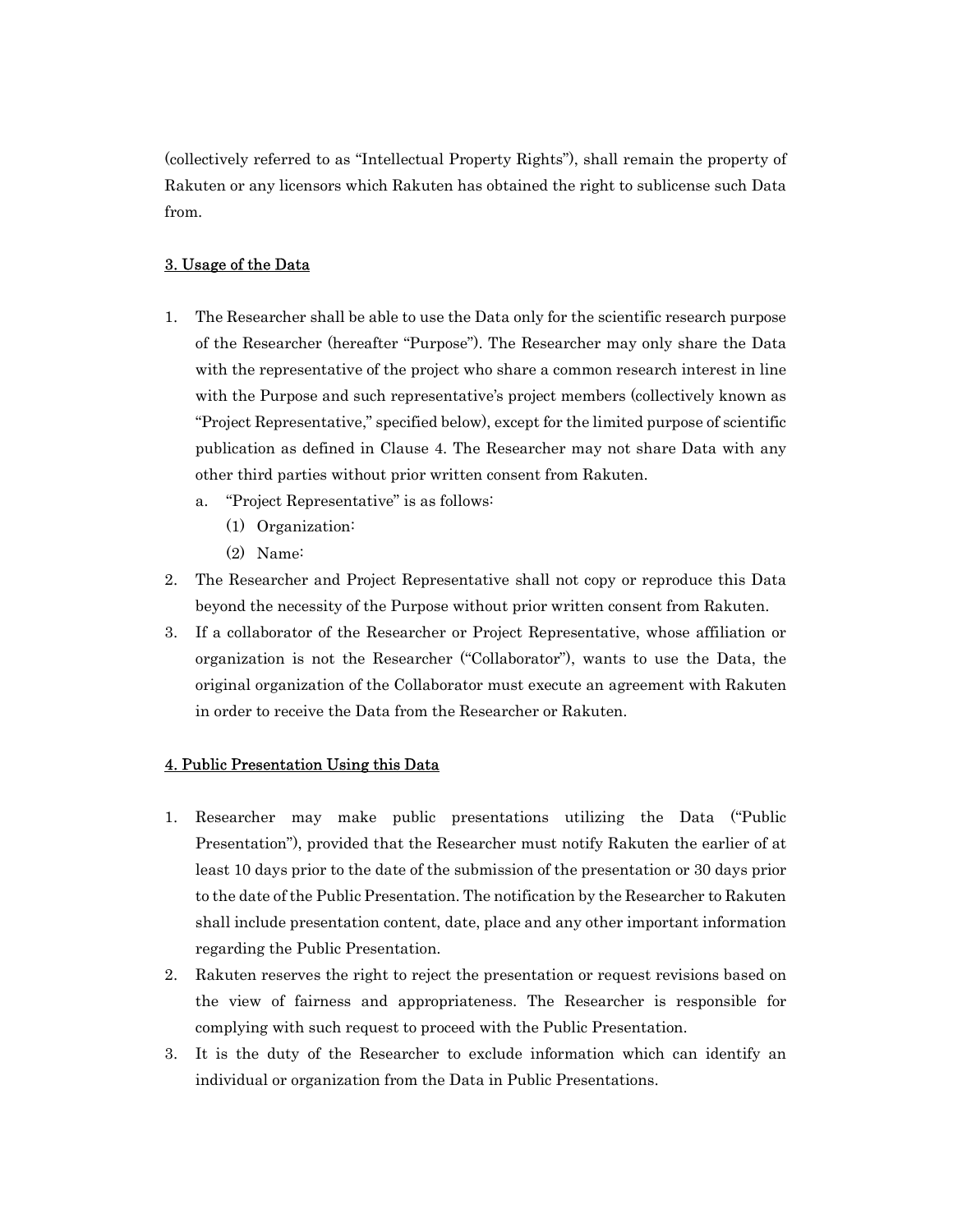(collectively referred to as "Intellectual Property Rights"), shall remain the property of Rakuten or any licensors which Rakuten has obtained the right to sublicense such Data from.

# 3. Usage of the Data

- 1. The Researcher shall be able to use the Data only for the scientific research purpose of the Researcher (hereafter "Purpose"). The Researcher may only share the Data with the representative of the project who share a common research interest in line with the Purpose and such representative's project members (collectively known as "Project Representative," specified below), except for the limited purpose of scientific publication as defined in Clause 4. The Researcher may not share Data with any other third parties without prior written consent from Rakuten.
	- a. "Project Representative" is as follows:
		- (1) Organization:
		- (2) Name:
- 2. The Researcher and Project Representative shall not copy or reproduce this Data beyond the necessity of the Purpose without prior written consent from Rakuten.
- 3. If a collaborator of the Researcher or Project Representative, whose affiliation or organization is not the Researcher ("Collaborator"), wants to use the Data, the original organization of the Collaborator must execute an agreement with Rakuten in order to receive the Data from the Researcher or Rakuten.

#### 4. Public Presentation Using this Data

- 1. Researcher may make public presentations utilizing the Data ("Public Presentation"), provided that the Researcher must notify Rakuten the earlier of at least 10 days prior to the date of the submission of the presentation or 30 days prior to the date of the Public Presentation. The notification by the Researcher to Rakuten shall include presentation content, date, place and any other important information regarding the Public Presentation.
- 2. Rakuten reserves the right to reject the presentation or request revisions based on the view of fairness and appropriateness. The Researcher is responsible for complying with such request to proceed with the Public Presentation.
- 3. It is the duty of the Researcher to exclude information which can identify an individual or organization from the Data in Public Presentations.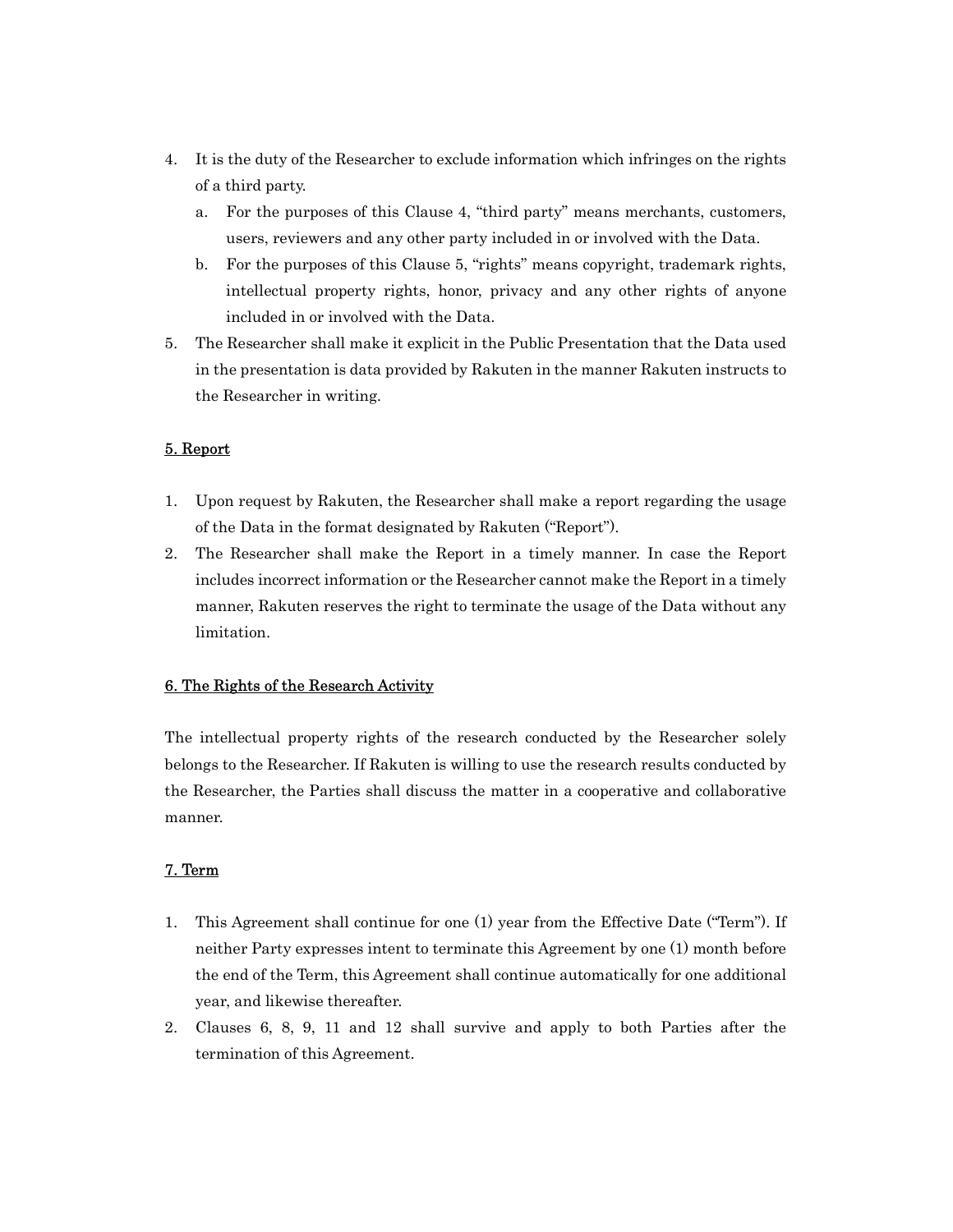- 4. It is the duty of the Researcher to exclude information which infringes on the rights of a third party.
	- a. For the purposes of this Clause 4, "third party" means merchants, customers, users, reviewers and any other party included in or involved with the Data.
	- b. For the purposes of this Clause 5, "rights" means copyright, trademark rights, intellectual property rights, honor, privacy and any other rights of anyone included in or involved with the Data.
- 5. The Researcher shall make it explicit in the Public Presentation that the Data used in the presentation is data provided by Rakuten in the manner Rakuten instructs to the Researcher in writing.

# 5. Report

- 1. Upon request by Rakuten, the Researcher shall make a report regarding the usage of the Data in the format designated by Rakuten ("Report").
- 2. The Researcher shall make the Report in a timely manner. In case the Report includes incorrect information or the Researcher cannot make the Report in a timely manner, Rakuten reserves the right to terminate the usage of the Data without any limitation.

### 6. The Rights of the Research Activity

The intellectual property rights of the research conducted by the Researcher solely belongs to the Researcher. If Rakuten is willing to use the research results conducted by the Researcher, the Parties shall discuss the matter in a cooperative and collaborative manner.

### 7. Term

- 1. This Agreement shall continue for one (1) year from the Effective Date ("Term"). If neither Party expresses intent to terminate this Agreement by one (1) month before the end of the Term, this Agreement shall continue automatically for one additional year, and likewise thereafter.
- 2. Clauses 6, 8, 9, 11 and 12 shall survive and apply to both Parties after the termination of this Agreement.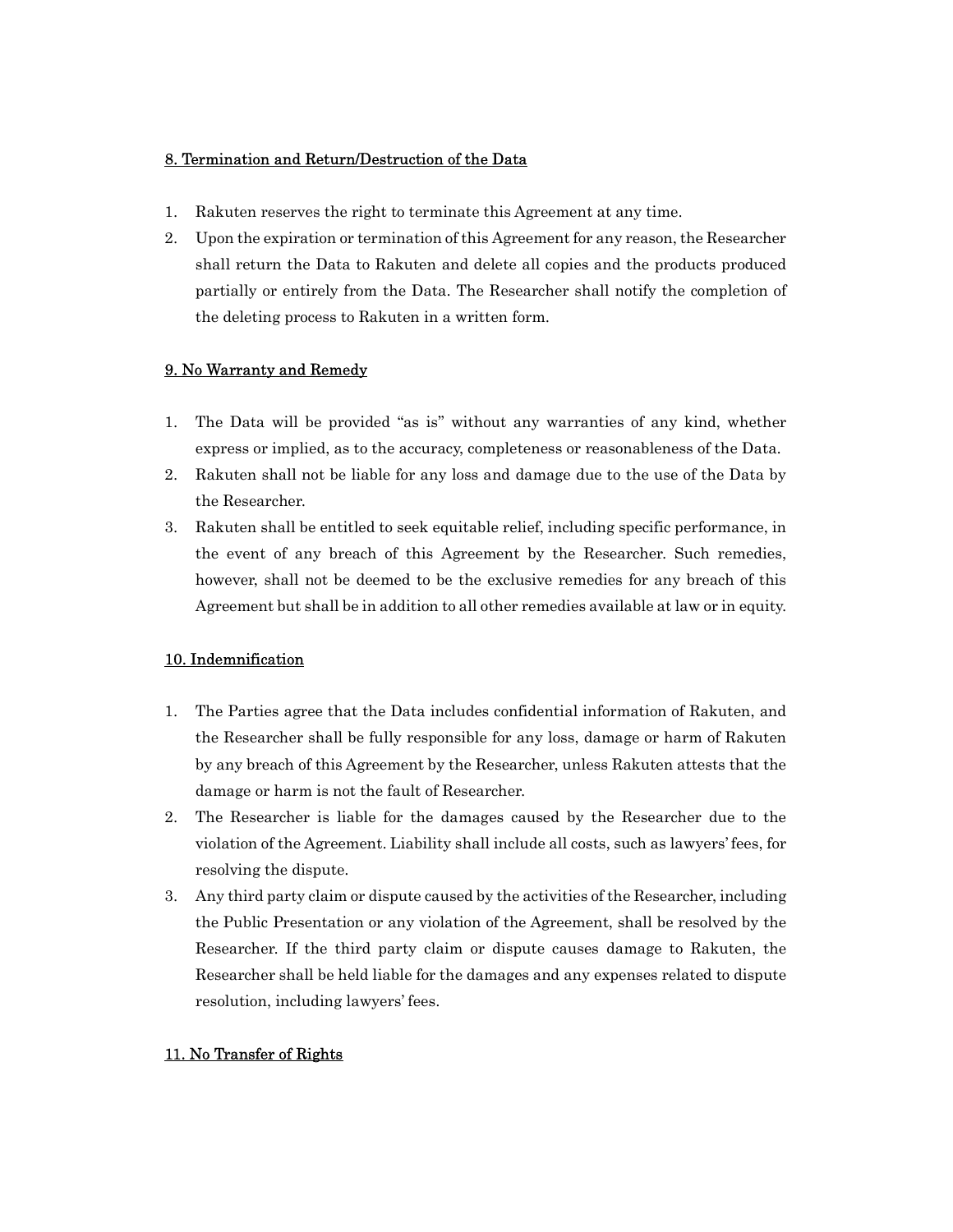## 8. Termination and Return/Destruction of the Data

- 1. Rakuten reserves the right to terminate this Agreement at any time.
- 2. Upon the expiration or termination of this Agreement for any reason, the Researcher shall return the Data to Rakuten and delete all copies and the products produced partially or entirely from the Data. The Researcher shall notify the completion of the deleting process to Rakuten in a written form.

# 9. No Warranty and Remedy

- 1. The Data will be provided "as is" without any warranties of any kind, whether express or implied, as to the accuracy, completeness or reasonableness of the Data.
- 2. Rakuten shall not be liable for any loss and damage due to the use of the Data by the Researcher.
- 3. Rakuten shall be entitled to seek equitable relief, including specific performance, in the event of any breach of this Agreement by the Researcher. Such remedies, however, shall not be deemed to be the exclusive remedies for any breach of this Agreement but shall be in addition to all other remedies available at law or in equity.

# 10. Indemnification

- 1. The Parties agree that the Data includes confidential information of Rakuten, and the Researcher shall be fully responsible for any loss, damage or harm of Rakuten by any breach of this Agreement by the Researcher, unless Rakuten attests that the damage or harm is not the fault of Researcher.
- 2. The Researcher is liable for the damages caused by the Researcher due to the violation of the Agreement. Liability shall include all costs, such as lawyers' fees, for resolving the dispute.
- 3. Any third party claim or dispute caused by the activities of the Researcher, including the Public Presentation or any violation of the Agreement, shall be resolved by the Researcher. If the third party claim or dispute causes damage to Rakuten, the Researcher shall be held liable for the damages and any expenses related to dispute resolution, including lawyers' fees.

# 11. No Transfer of Rights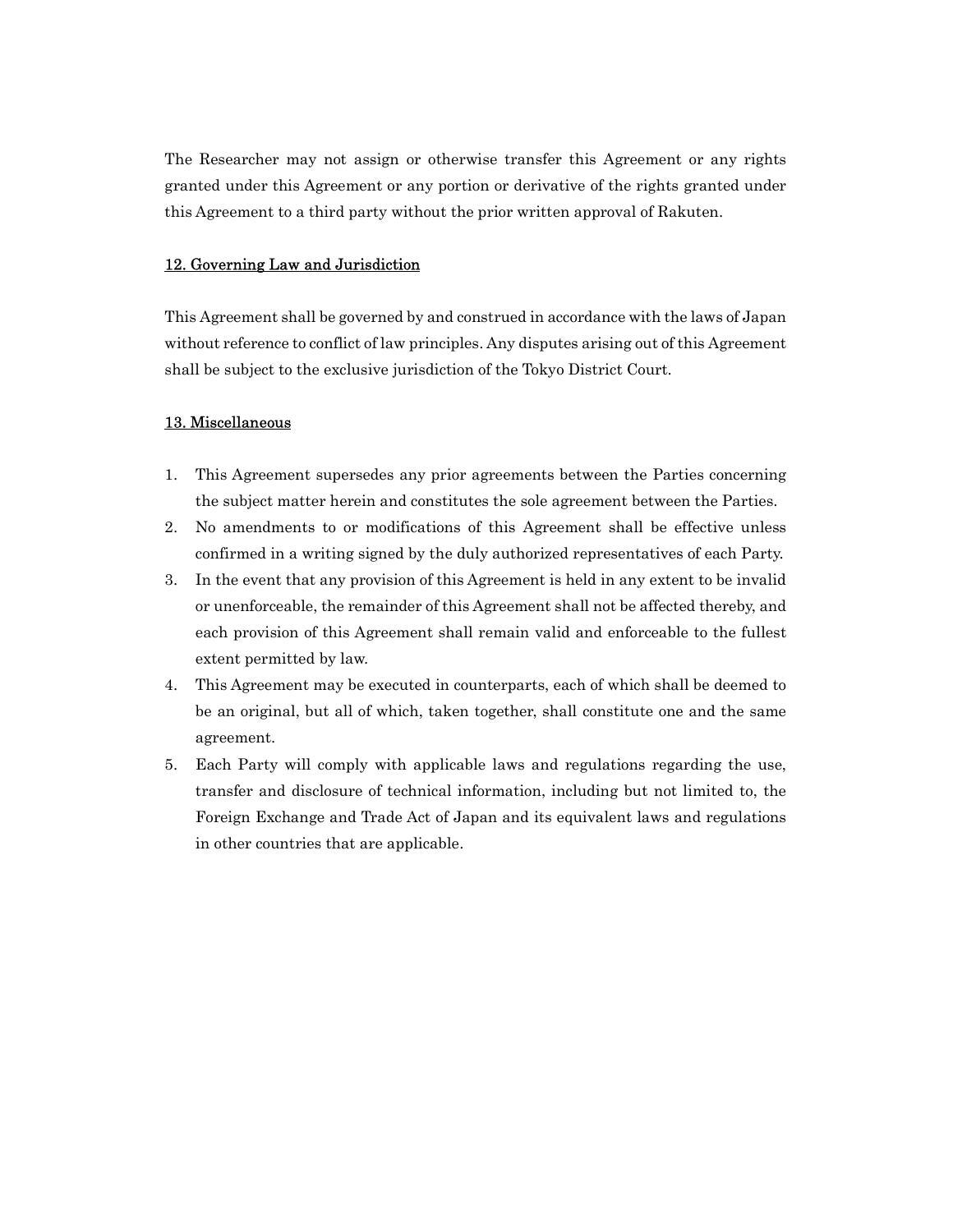The Researcher may not assign or otherwise transfer this Agreement or any rights granted under this Agreement or any portion or derivative of the rights granted under this Agreement to a third party without the prior written approval of Rakuten.

### 12. Governing Law and Jurisdiction

This Agreement shall be governed by and construed in accordance with the laws of Japan without reference to conflict of law principles. Any disputes arising out of this Agreement shall be subject to the exclusive jurisdiction of the Tokyo District Court.

#### 13. Miscellaneous

- 1. This Agreement supersedes any prior agreements between the Parties concerning the subject matter herein and constitutes the sole agreement between the Parties.
- 2. No amendments to or modifications of this Agreement shall be effective unless confirmed in a writing signed by the duly authorized representatives of each Party.
- 3. In the event that any provision of this Agreement is held in any extent to be invalid or unenforceable, the remainder of this Agreement shall not be affected thereby, and each provision of this Agreement shall remain valid and enforceable to the fullest extent permitted by law.
- 4. This Agreement may be executed in counterparts, each of which shall be deemed to be an original, but all of which, taken together, shall constitute one and the same agreement.
- 5. Each Party will comply with applicable laws and regulations regarding the use, transfer and disclosure of technical information, including but not limited to, the Foreign Exchange and Trade Act of Japan and its equivalent laws and regulations in other countries that are applicable.